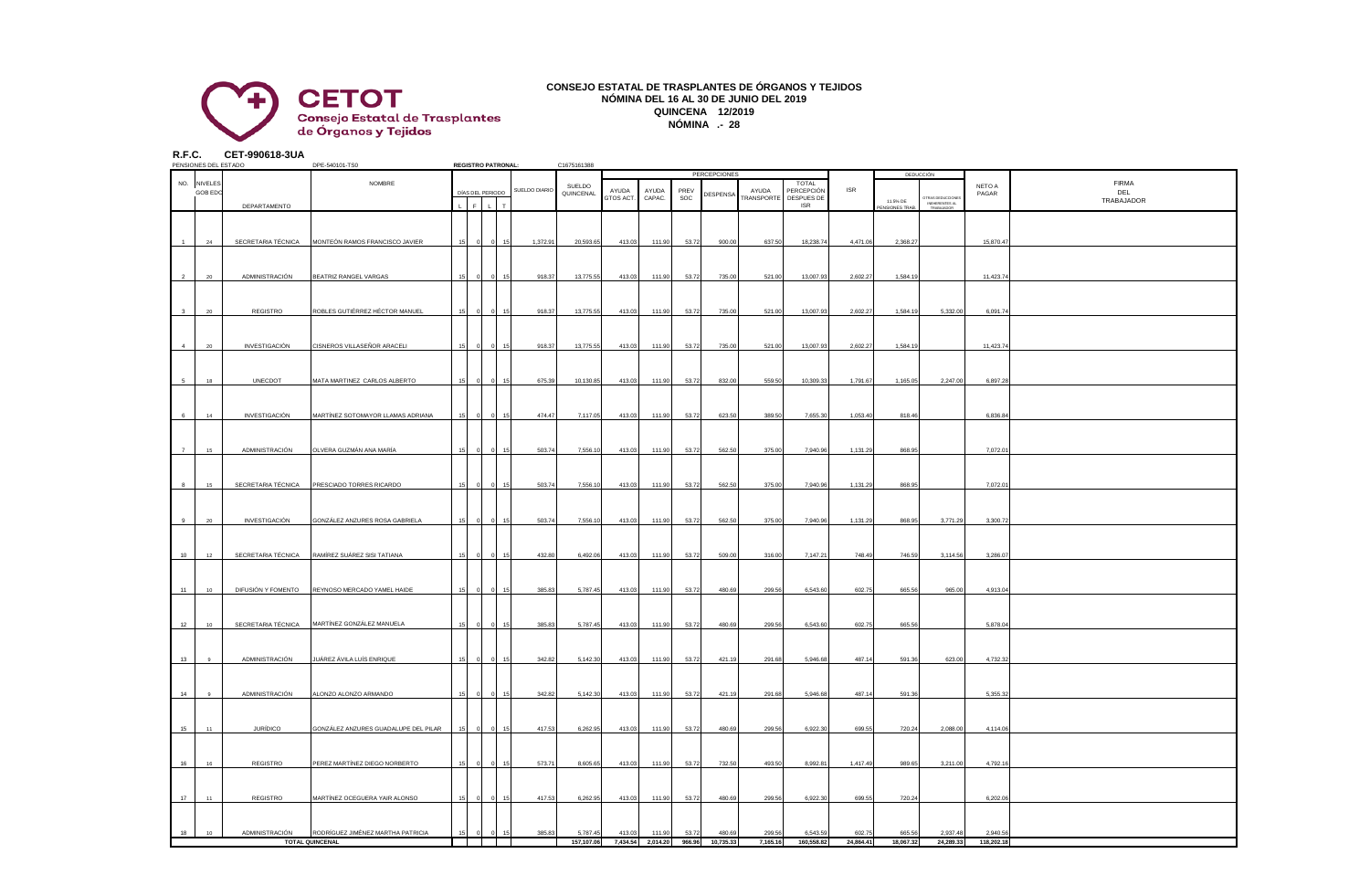

## **CONSEJO ESTATAL DE TRASPLANTES DE ÓRGANOS Y TEJIDOS NÓMINA DEL 16 AL 30 DE JUNIO DEL 2019 QUINCENA 12/2019 NÓMINA .- 28**

| <b>R.F.C.</b>           | PENSIONES DEL ESTADO          | CET-990618-3UA     | DPE-540101-TS0                                 |              | <b>REGISTRO PATRONAL:</b> |                   |               | C1675161388         |                    |                 |             |                 |                                   |                                                        |            |                                 |                |                 |                                   |
|-------------------------|-------------------------------|--------------------|------------------------------------------------|--------------|---------------------------|-------------------|---------------|---------------------|--------------------|-----------------|-------------|-----------------|-----------------------------------|--------------------------------------------------------|------------|---------------------------------|----------------|-----------------|-----------------------------------|
|                         |                               |                    |                                                |              |                           |                   |               |                     |                    |                 |             | PERCEPCIONES    |                                   |                                                        |            |                                 | DEDUCCIÓN      |                 |                                   |
|                         | NO. NIVELES<br><b>GOB EDC</b> | DEPARTAMENTO       | NOMBRE                                         | $\mathbf{L}$ | DÍAS DEL PERIODO<br>F     | $\mathsf{L}$<br>T | SUELDO DIARIO | SUELDO<br>QUINCENAL | AYUDA<br>GTOS ACT. | AYUDA<br>CAPAC. | PREV<br>SOC | <b>DESPENSA</b> | AYUDA<br><b><i>FRANSPORTE</i></b> | <b>TOTAL</b><br>PERCEPCIÓN<br>DESPUES DE<br><b>ISR</b> | <b>ISR</b> | 11.5% DE<br><b>ENSIONES TRA</b> | TRAS DEDUCCION | NETO A<br>PAGAR | <b>FIRMA</b><br>DEL<br>TRABAJADOR |
|                         | 24                            | SECRETARIA TÉCNICA | MONTEÓN RAMOS FRANCISCO JAVIER                 |              |                           |                   | 1,372.91      | 20,593.65           | 413.03             | 111.90          | 53.72       | 900.00          | 637.50                            | 18,238.74                                              | 4,471.06   | 2,368.27                        |                | 15,870.47       |                                   |
|                         | 20                            | ADMINISTRACIÓN     | BEATRIZ RANGEL VARGAS                          |              |                           |                   | 918.37        | 13,775.55           | 413.03             | 111.90          | 53.72       | 735.00          | 521.00                            | 13,007.93                                              | 2,602.27   | 1,584.19                        |                | 11,423.74       |                                   |
| $\overline{\mathbf{3}}$ | 20                            | REGISTRO           | ROBLES GUTIÉRREZ HÉCTOR MANUEL                 |              |                           |                   | 918.37        | 13,775.55           | 413.03             | 111.90          | 53.72       | 735.00          | 521.00                            | 13,007.93                                              | 2,602.27   | 1,584.19                        | 5,332.00       | 6,091.7         |                                   |
| $\overline{4}$          | 20                            | INVESTIGACIÓN      | CISNEROS VILLASEÑOR ARACELI                    |              |                           |                   | 918.37        | 13,775.55           | 413.03             | 111.90          | 53.72       | 735.00          | 521.00                            | 13,007.93                                              | 2,602.27   | 1,584.19                        |                | 11,423.74       |                                   |
| 5                       | 18                            | UNECDOT            | MATA MARTINEZ CARLOS ALBERTO                   |              |                           |                   | 675.39        | 10,130.85           | 413.03             | 111.90          | 53.72       | 832.00          | 559.50                            | 10,309.33                                              | 1,791.67   | 1,165.05                        | 2,247.00       | 6,897.28        |                                   |
| $6^{\circ}$             | 14                            | INVESTIGACIÓN      | MARTÍNEZ SOTOMAYOR LLAMAS ADRIANA              |              |                           |                   | 474.47        | 7,117.05            | 413.03             | 111.90          | 53.72       | 623.50          | 389.50                            | 7,655.30                                               | 1,053.40   | 818.4                           |                | 6,836.84        |                                   |
| $\overline{7}$          | 15                            | ADMINISTRACIÓN     | <u>OLVERA GUZMÁN ANA MARÍA</u>                 |              |                           |                   | 503.74        | 7,556.10            | 413.03             | 111.90          | 53.72       | 562.50          | 375.00                            | 7,940.96                                               | 1,131.29   | 868.95                          |                | 7,072.0         |                                   |
| 8                       | 15                            |                    | SECRETARIA TÉCNICA PRESCIADO TORRES RICARDO    |              |                           |                   | 503.74        | 7,556.10            | 413.03             | 111.90          | 53.72       | 562.50          | 375.00                            | 7,940.96                                               | 1,131.29   | 868.95                          |                | 7,072.01        |                                   |
| $\mathbf{g}$            | 20 <sub>0</sub>               | INVESTIGACIÓN      | GONZÁLEZ ANZURES ROSA GABRIELA                 |              |                           |                   | 503.74        | 7,556.10            | 413.03             | 111.90          | 53.72       | 562.50          | 375.00                            | 7,940.96                                               | 1,131.29   | 868.95                          | 3,771.29       | 3,300.72        |                                   |
| 10                      | 12                            |                    | SECRETARIA TÉCNICA RAMÍREZ SUÁREZ SISI TATIANA |              |                           |                   | 432.80        | 6,492.06            | 413.03             | 111.90          | 53.72       | 509.00          | 316.00                            | 7.147.21                                               | 748.49     | 746.59                          | 3.114.56       | 3,286.07        |                                   |
| 11                      | 10                            |                    | DIFUSIÓN Y FOMENTO REYNOSO MERCADO YAMEL HAIDE |              |                           |                   | 385.83        | 5,787.45            | 413.03             | 111.90          | 53.72       | 480.69          | 299.56                            | 6,543.60                                               | 602.75     | 665.56                          | 965.00         | 4,913.0         |                                   |
| 12                      | 10                            |                    | SECRETARIA TÉCNICA MARTÍNEZ GONZÁLEZ MANUELA   |              |                           |                   | 385.83        | 5,787.45            | 413.03             | 111.90          | 53.72       | 480.69          | 299.56                            | 6,543.60                                               | 602.75     | 665.56                          |                | 5,878.04        |                                   |
| 13                      |                               | ADMINISTRACIÓN     | JUÁREZ ÁVILA LUÍS ENRIQUE                      |              |                           |                   | 342.82        | 5,142.30            | 413.03             | 111.90          | 53.72       | 421.19          | 291.68                            | 5,946.68                                               | 487.14     | 591.36                          | 623.00         | 4,732.32        |                                   |
| 14                      |                               | ADMINISTRACIÓN     | ALONZO ALONZO ARMANDO                          |              |                           |                   | 342.82        | 5,142.30            | 413.03             | 111.90          | 53.72       | 421.19          | 291.68                            | 5,946.68                                               | 487.14     | 591.36                          |                | 5,355.32        |                                   |
| 15                      | 11                            | <b>JURÍDICO</b>    | GONZÁLEZ ANZURES GUADALUPE DEL PILAR           |              |                           | 15                | 417.53        | 6,262.95            | 413.03             | 111.90          | 53.72       | 480.69          | 299.56                            | 6,922.30                                               | 699.55     | 720.24                          | 2,088.00       | 4,114.06        |                                   |
| 16                      | 16                            | REGISTRO           | PEREZ MARTÍNEZ DIEGO NORBERTO                  |              | $\overline{0}$            | 15                | 573.71        | 8,605.65            | 413.03             | 111.90          | 53.72       | 732.50          | 493.50                            | 8,992.81                                               | 1,417.49   | 989.65                          | 3,211.00       | 4,792.16        |                                   |
| 17                      | 11                            | REGISTRO           | MARTÍNEZ OCEGUERA YAIR ALONSO                  |              |                           |                   | 417.53        | 6,262.95            | 413.03             | 111.90          | 53.72       | 480.69          | 299.56                            | 6,922.30                                               | 699.55     | 720.24                          |                | 6,202.06        |                                   |
| 18                      | 10                            | ADMINISTRACIÓN     | RODRÍGUEZ JIMÉNEZ MARTHA PATRICIA              |              |                           |                   | 385.83        | 5,787.45            | 413.03             | 111.90          | 53.72       | 480.69          | 299.56                            | 6,543.59                                               | 602.75     | 665.56                          | 2,937.48       | 2,940.56        |                                   |
|                         |                               |                    | <b>TOTAL QUINCENAL</b>                         |              |                           |                   |               | 157,107.06          | 7,434.54           | 2,014.20        | 966.96      | 10,735.33       | 7,165.16                          | 160,558.82                                             | 24,864.41  | 18,067.32                       | 24,289.33      | 118,202.18      |                                   |